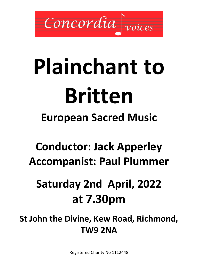

# **Plainchant to Britten European Sacred Music**

## **Conductor: Jack Apperley Accompanist: Paul Plummer**

## **Saturday 2nd April, 2022 at 7.30pm**

**St John the Divine, Kew Road, Richmond, TW9 2NA**

Registered Charity No 1112448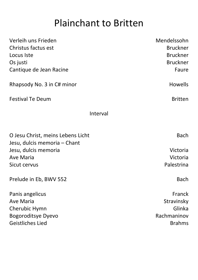## Plainchant to Britten

| Verleih uns Frieden<br>Christus factus est<br>Locus Iste<br>Os justi<br>Cantique de Jean Racine                               | Mendelssohn<br><b>Bruckner</b><br><b>Bruckner</b><br><b>Bruckner</b><br>Faure |  |  |
|-------------------------------------------------------------------------------------------------------------------------------|-------------------------------------------------------------------------------|--|--|
| Rhapsody No. 3 in C# minor                                                                                                    | <b>Howells</b>                                                                |  |  |
| <b>Festival Te Deum</b>                                                                                                       | <b>Britten</b>                                                                |  |  |
| Interval                                                                                                                      |                                                                               |  |  |
| O Jesu Christ, meins Lebens Licht<br>Jesu, dulcis memoria – Chant<br>Jesu, dulcis memoria<br><b>Ave Maria</b><br>Sicut cervus | <b>Bach</b><br>Victoria<br>Victoria<br>Palestrina                             |  |  |
| Prelude in Eb, BWV 552                                                                                                        | <b>Bach</b>                                                                   |  |  |
| Panis angelicus<br><b>Ave Maria</b><br>Cherubic Hymn<br><b>Bogoroditsye Dyevo</b><br><b>Geistliches Lied</b>                  | Franck<br>Stravinsky<br>Glinka<br>Rachmaninov<br><b>Brahms</b>                |  |  |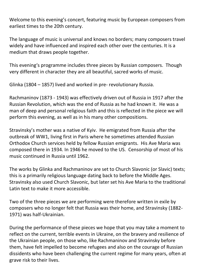Welcome to this evening's concert, featuring music by European composers from earliest times to the 20th century.

The language of music is universal and knows no borders; many composers travel widely and have influenced and inspired each other over the centuries. It is a medium that draws people together.

This evening's programme includes three pieces by Russian composers. Though very different in character they are all beautiful, sacred works of music.

Glinka (1804 – 1857) lived and worked in pre- revolutionary Russia.

Rachmaninov (1873 - 1943) was effectively driven out of Russia in 1917 after the Russian Revolution, which was the end of Russia as he had known it. He was a man of deep and personal religious faith and this is reflected in the piece we will perform this evening, as well as in his many other compositions.

Stravinsky's mother was a native of Kyiv. He emigrated from Russia after the outbreak of WW1, living first in Paris where he sometimes attended Russian Orthodox Church services held by fellow Russian emigrants. His Ave Maria was composed there in 1934. In 1946 he moved to the US. Censorship of most of his music continued in Russia until 1962.

The works by Glinka and Rachmaninov are set to Church Slavonic (or Slavic) texts; this is a primarily religious language dating back to before the Middle Ages. Stravinsky also used Church Slavonic, but later set his Ave Maria to the traditional Latin text to make it more accessible.

Two of the three pieces we are performing were therefore written in exile by composers who no longer felt that Russia was their home, and Stravinsky (1882- 1971) was half-Ukrainian.

During the performance of these pieces we hope that you may take a moment to reflect on the current, terrible events in Ukraine, on the bravery and resilience of the Ukrainian people, on those who, like Rachmaninov and Stravinsky before them, have felt impelled to become refugees and also on the courage of Russian dissidents who have been challenging the current regime for many years, often at grave risk to their lives.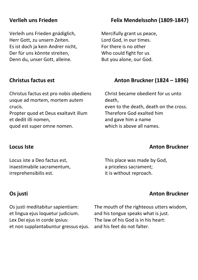Verleih uns Frieden gnädiglich, Herr Gott, zu unsern Zeiten. Es ist doch ja kein Andrer nicht, Der für uns könnte streiten, Denn du, unser Gott, alleine.

Christus factus est pro nobis obediens usque ad mortem, mortem autem crucis.

Propter quod et Deus exaltavit illum et dedit illi nomen,

quod est super omne nomen.

Locus iste a Deo factus est, inaestimabile sacramentum, irreprehensibilis est.

Os justi meditabitur sapientiam: et lingua ejus loquetur judicium. Lex Dei ejus in corde ipsius: et non supplantabuntur gressus ejus.

### **Verlieh uns Frieden Felix Mendelssohn (1809-1847)**

Mercifully grant us peace, Lord God, in our times. For there is no other Who could fight for us But you alone, our God.

### **Christus factus est** Anton Bruckner (1824 – 1896)

Christ became obedient for us unto death, even to the death, death on the cross. Therefore God exalted him and gave him a name which is above all names.

### **Locus Iste Anton Bruckner Anton Bruckner**

This place was made by God, a priceless sacrament; it is without reproach.

### **Os justi** Anton Bruckner

The mouth of the righteous utters wisdom, and his tongue speaks what is just. The law of his God is in his heart: and his feet do not falter.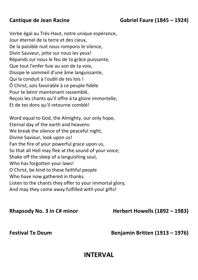Verbe égal au Très-Haut, notre unique espérance, Jour éternel de la terre et des cieux, De la paisible nuit nous rompons le silence, Divin Sauveur, jette sur nous les yeux! Répands sur nous le feu de ta grâce puissante, Que tout l'enfer fuie au son de ta voix, Dissipe le sommeil d'une âme languissante, Qui la conduit à l'oubli de tes lois ! Ô Christ, sois favorable à ce peuple fidèle Pour te bénir maintenant rassemblé, Reçois les chants qu'il offre à ta gloire immortelle, Et de tes dons qu'il retourne comblé!

Word equal to God, the Almighty, our only hope, Eternal day of the earth and heavens: We break the silence of the peaceful night, Divine Saviour, look upon us! Fan the fire of your powerful grace upon us, So that all Hell may flee at the sound of your voice; Shake off the sleep of a languishing soul, Who has forgotten your laws! O Christ, be kind to these faithful people Who have now gathered in thanks. Listen to the chants they offer to your immortal glory, And may they come away fulfilled with your gifts!

**Rhapsody No. 3 in C# minor Herbert Howells (1892 – 1983)** 

**Festival Te Deum Benjamin Britten** (1913 – 1976)

### **INTERVAL**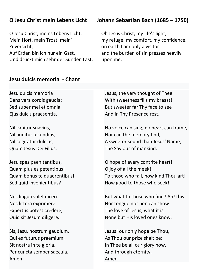O Jesu Christ, meins Lebens Licht, Mein Hort, mein Trost, mein' Zuversicht, Auf Erden bin ich nur ein Gast, Und drückt mich sehr der Sünden Last.

### **O Jesu Christ mein Lebens Licht Johann Sebastian Bach (1685 – 1750)**

Oh Jesus Christ, my life's light, my refuge, my comfort, my confidence, on earth I am only a visitor and the burden of sin presses heavily upon me.

### **Jesu dulcis memoria - Chant**

Jesu dulcis memoria Dans vera cordis gaudia: Sed super mel et omnia Ejus dulcis praesentia.

Nil canitur suavius, Nil auditur jucundius, Nil cogitatur dulcius, Quam Jesus Dei Filius.

Jesu spes paenitentibus, Quam pius es petentibus! Quam bonus te quaerentibus! Sed quid invenientibus?

Nec lingua valet dicere, Nec littera exprimere: Expertus potest credere, Quid sit Jesum diligere.

Sis, Jesu, nostrum gaudium, Qui es futurus praemium: Sit nostra in te gloria, Per cuncta semper saecula. Amen.

Jesus, the very thought of Thee With sweetness fills my breast! But sweeter far Thy face to see And in Thy Presence rest.

No voice can sing, no heart can frame, Nor can the memory find, A sweeter sound than Jesus' Name, The Saviour of mankind.

O hope of every contrite heart! O joy of all the meek! To those who fall, how kind Thou art! How good to those who seek!

But what to those who find? Ah! this Nor tongue nor pen can show The love of Jesus, what it is, None but His loved ones know.

Jesus! our only hope be Thou, As Thou our prize shalt be; In Thee be all our glory now, And through eternity. Amen.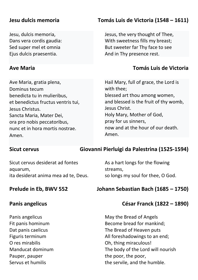Jesu, dulcis memoria, Dans vera cordis gaudia: Sed super mel et omnia Ejus dulcis praesentia.

Ave Maria, gratia plena, Dominus tecum benedicta tu in mulieribus, et benedictus fructus ventris tui, Jesus Christus. Sancta Maria, Mater Dei, ora pro nobis peccatoribus, nunc et in hora mortis nostrae. Amen.

### **Jesu dulcis memoria Tomás Luis de Victoria (1548 – 1611)**

Jesus, the very thought of Thee, With sweetness fills my breast; But sweeter far Thy face to see And in Thy presence rest.

### **Ave Maria Tomás Luis de Victoria**

Hail Mary, full of grace, the Lord is with thee; blessed art thou among women, and blessed is the fruit of thy womb, Jesus Christ. Holy Mary, Mother of God, pray for us sinners, now and at the hour of our death. Amen.

### **Sicut cervus Giovanni Pierluigi da Palestrina (1525-1594)**

Sicut cervus desiderat ad fontes aquarum, ita desiderat anima mea ad te, Deus. As a hart longs for the flowing streams, so longs my soul for thee, O God.

### **Prelude in Eb, BWV 552 Johann Sebastian Bach (1685 – 1750)**

Panis angelicus Fit panis hominum Dat panis caelicus Figuris terminum O res mirabilis Manducat dominum Pauper, pauper Servus et humilis

### **Panis angelicus César Franck (1822 – 1890)**

May the Bread of Angels Become bread for mankind; The Bread of Heaven puts All foreshadowings to an end; Oh, thing miraculous! The body of the Lord will nourish the poor, the poor, the servile, and the humble.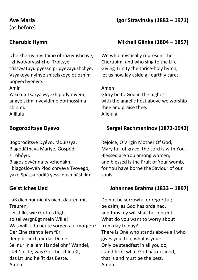(as before)

Izhe kheruvimyi taino obrazuyushchye, i zhivotvoryashchei Troitsye trissvyatuyu pyessn pripyevayushchye, Vsyakoye nyinye zhiteiskoye otlozhim popyechyenіye.

Amin

Yako da Tsarya vsyekh podyimyem, angyelskimi nyevidimo dorinossima chinmi.

Alliluіa

Bogoróditsye Dyévo, ráduissya, Blagodátnaya Maríye, Gospód s Tobóyu. Blagoslovyénna tyivzhenákh,

i blagoslovyén Plod chryéva Tvoyegó, yáko Spássa rodilá yessí dush náshikh.

Laß dich nur nichts nicht dauren mit Trauren, sei stille, wie Gott es fügt, so sei vergnügt mein Wille! Was willst du heute sorgen auf morgen? Der Eine steht allem für, der gibt auch dir das Deine. Sei nur in allem Handel ohn' Wandel, steh' feste, was Gott beschleußt, das ist und heißt das Beste. Amen.

### **Ave Maria Igor Stravinsky (1882 – 1971)**

### **Cherubic Hymn** Mikhail Glinka (1804 – 1857)

We who mystically represent the Cherubim, and who sing to the Life-Giving Trinity the thrice-holy hymn, let us now lay aside all earthly cares

### Amen

Glory be to God in the highest: with the angelic host above we worship thee and praise thee. Alleluia.

### **Bogoroditsye Dyevo Sergei Rachmaninov (1873-1943)**

Rejoice, O Virgin Mother Of God, Mary full of grace, the Lord is with You. Blessed are You among women, and blessed is the Fruit of Your womb, for You have borne the Saviour of our souls

### **Geistliches Lied Johannes Brahms (1833 – 1897)**

Do not be sorrowful or regretful; be calm, as God has ordained, and thus my will shall be content. What do you want to worry about from day to day? There is One who stands above all who gives you, too, what is yours. Only be steadfast in all you do, stand firm; what God has decided, that is and must be the best. Amen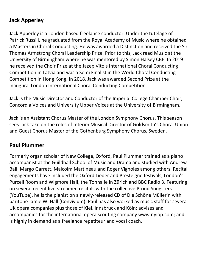### **Jack Apperley**

Jack Apperley is a London based freelance conductor. Under the tutelage of Patrick Russill, he graduated from the Royal Academy of Music where he obtained a Masters in Choral Conducting. He was awarded a Distinction and received the Sir Thomas Armstrong Choral Leadership Prize. Prior to this, Jack read Music at the University of Birmingham where he was mentored by Simon Halsey CBE. In 2019 he received the Choir Prize at the Jazep Vitols International Choral Conducting Competition in Latvia and was a Semi Finalist in the World Choral Conducting Competition in Hong Kong. In 2018, Jack was awarded Second Prize at the inaugural London International Choral Conducting Competition.

Jack is the Music Director and Conductor of the Imperial College Chamber Choir, Concordia Voices and University Upper Voices at the University of Birmingham.

Jack is an Assistant Chorus Master of the London Symphony Chorus. This season sees Jack take on the roles of Interim Musical Director of Goldsmith's Choral Union and Guest Chorus Master of the Gothenburg Symphony Chorus, Sweden.

### **Paul Plummer**

Formerly organ scholar of New College, Oxford, Paul Plummer trained as a piano accompanist at the Guildhall School of Music and Drama and studied with Andrew Ball, Margo Garrett, Malcolm Martineau and Roger Vignoles among others. Recital engagements have included the Oxford Lieder and Presteigne festivals, London's Purcell Room and Wigmore Hall, the Tonhalle in Zürich and BBC Radio 3. Featuring on several recent live-streamed recitals with the collective Proud Songsters (YouTube), he is the pianist on a newly-released CD of Die Schöne Müllerin with baritone Jamie W. Hall (Convivium). Paul has also worked as music staff for several UK opera companies plus those of Kiel, Innsbruck and Köln; advises and accompanies for the international opera scouting company [www.nyiop.com;](http://www.nyiop.com/) and is highly in demand as a freelance repetiteur and vocal coach.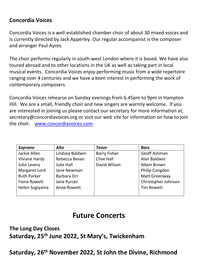### **Concordia Voices**

Concordia Voices is a well-established chamber choir of about 30 mixed voices and is currently directed by Jack Apperley. Our regular accompanist is the composer and arranger Paul Ayres.

The choir performs regularly in south-west London where it is based. We have also toured abroad and to other locations in the UK as well as taking part in local musical events. Concordia Voices enjoy performing music from a wide repertoire ranging over 4 centuries and we have a keen interest in performing the work of contemporary composers.

Concordia Voices rehearse on Sunday evenings from 6.45pm to 9pm in Hampton Hill. We are a small, friendly choir and new singers are warmly welcome. If you are interested in joining us please contact our secretary for more information at, [secretary@concordiavoices.org](mailto:secretary@concordiavoices.org) or visit our web site for information on how to join the choir. [www.concordiavoices.com](http://www.concordiavoices.com/)

| Soprano             | Alto               | <b>Tenor</b>        | <b>Bass</b>          |
|---------------------|--------------------|---------------------|----------------------|
| Jackie Allen        | Lindsey Baldwin    | <b>Barry Fisher</b> | Geoff Ashman         |
| Viviane Hardy       | Rebecca Bevan      | <b>Clive Hall</b>   | Alan Baldwin         |
| Julia Lavery        | <b>Julie Hall</b>  | David Wilson        | <b>Adam Brown</b>    |
| Margaret Lord       | Jane Newman        |                     | Philip Congdon       |
| <b>Ruth Parker</b>  | <b>Barbara Orr</b> |                     | <b>Matt Greenway</b> |
| <b>Fiona Rowett</b> | Jane Purser        |                     | Christopher Johnson  |
| Helen Sugiyama      | Anne Rowett        |                     | <b>Tim Rowett</b>    |
|                     |                    |                     |                      |

### **Future Concerts**

**The Long Day Closes Saturday, 25th June 2022, St Mary's, Twickenham**

**Saturday, 26th November 2022, St John the Divine, Richmond**